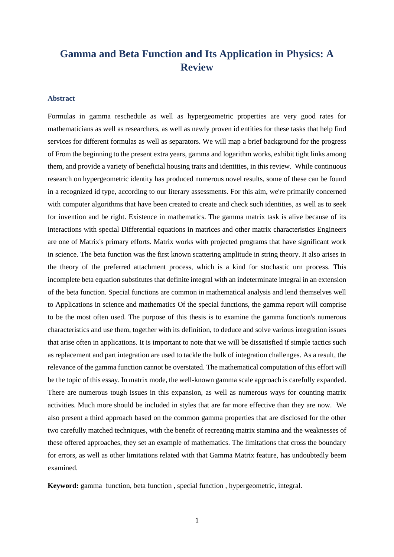# **Gamma and Beta Function and Its Application in Physics: A Review**

# **Abstract**

Formulas in gamma reschedule as well as hypergeometric properties are very good rates for mathematicians as well as researchers, as well as newly proven id entities for these tasks that help find services for different formulas as well as separators. We will map a brief background for the progress of From the beginning to the present extra years, gamma and logarithm works, exhibit tight links among them, and provide a variety of beneficial housing traits and identities, in this review. While continuous research on hypergeometric identity has produced numerous novel results, some of these can be found in a recognized id type, according to our literary assessments. For this aim, we're primarily concerned with computer algorithms that have been created to create and check such identities, as well as to seek for invention and be right. Existence in mathematics. The gamma matrix task is alive because of its interactions with special Differential equations in matrices and other matrix characteristics Engineers are one of Matrix's primary efforts. Matrix works with projected programs that have significant work in science. The beta function was the first known scattering amplitude in string theory. It also arises in the theory of the preferred attachment process, which is a kind for stochastic urn process. This incomplete beta equation substitutes that definite integral with an indeterminate integral in an extension of the beta function. Special functions are common in mathematical analysis and lend themselves well to Applications in science and mathematics Of the special functions, the gamma report will comprise to be the most often used. The purpose of this thesis is to examine the gamma function's numerous characteristics and use them, together with its definition, to deduce and solve various integration issues that arise often in applications. It is important to note that we will be dissatisfied if simple tactics such as replacement and part integration are used to tackle the bulk of integration challenges. As a result, the relevance of the gamma function cannot be overstated. The mathematical computation of this effort will be the topic of this essay. In matrix mode, the well-known gamma scale approach is carefully expanded. There are numerous tough issues in this expansion, as well as numerous ways for counting matrix activities. Much more should be included in styles that are far more effective than they are now. We also present a third approach based on the common gamma properties that are disclosed for the other two carefully matched techniques, with the benefit of recreating matrix stamina and the weaknesses of these offered approaches, they set an example of mathematics. The limitations that cross the boundary for errors, as well as other limitations related with that Gamma Matrix feature, has undoubtedly beem examined.

**Keyword:** gamma function, beta function , special function , hypergeometric, integral.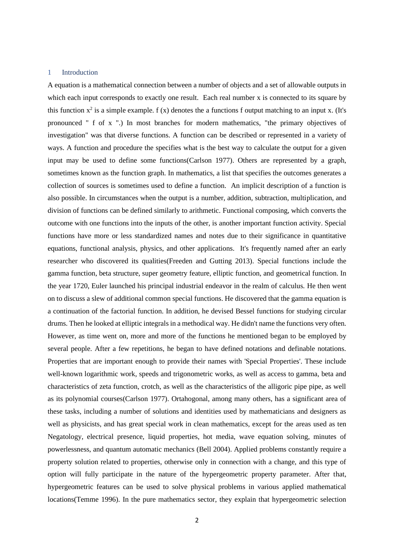#### 1 Introduction

A equation is a mathematical connection between a number of objects and a set of allowable outputs in which each input corresponds to exactly one result. Each real number x is connected to its square by this function  $x^2$  is a simple example. f (x) denotes the a functions f output matching to an input x. (It's pronounced " f of x ".) In most branches for modern mathematics, "the primary objectives of investigation" was that diverse functions. A function can be described or represented in a variety of ways. A function and procedure the specifies what is the best way to calculate the output for a given input may be used to define some functions(Carlson 1977). Others are represented by a graph, sometimes known as the function graph. In mathematics, a list that specifies the outcomes generates a collection of sources is sometimes used to define a function. An implicit description of a function is also possible. In circumstances when the output is a number, addition, subtraction, multiplication, and division of functions can be defined similarly to arithmetic. Functional composing, which converts the outcome with one functions into the inputs of the other, is another important function activity. Special functions have more or less standardized names and notes due to their significance in quantitative equations, functional analysis, physics, and other applications. It's frequently named after an early researcher who discovered its qualities(Freeden and Gutting 2013). Special functions include the gamma function, beta structure, super geometry feature, elliptic function, and geometrical function. In the year 1720, Euler launched his principal industrial endeavor in the realm of calculus. He then went on to discuss a slew of additional common special functions. He discovered that the gamma equation is a continuation of the factorial function. In addition, he devised Bessel functions for studying circular drums. Then he looked at elliptic integrals in a methodical way. He didn't name the functions very often. However, as time went on, more and more of the functions he mentioned began to be employed by several people. After a few repetitions, he began to have defined notations and definable notations. Properties that are important enough to provide their names with 'Special Properties'. These include well-known logarithmic work, speeds and trigonometric works, as well as access to gamma, beta and characteristics of zeta function, crotch, as well as the characteristics of the alligoric pipe pipe, as well as its polynomial courses(Carlson 1977). Ortahogonal, among many others, has a significant area of these tasks, including a number of solutions and identities used by mathematicians and designers as well as physicists, and has great special work in clean mathematics, except for the areas used as ten Negatology, electrical presence, liquid properties, hot media, wave equation solving, minutes of powerlessness, and quantum automatic mechanics (Bell 2004). Applied problems constantly require a property solution related to properties, otherwise only in connection with a change, and this type of option will fully participate in the nature of the hypergeometric property parameter. After that, hypergeometric features can be used to solve physical problems in various applied mathematical locations(Temme 1996). In the pure mathematics sector, they explain that hypergeometric selection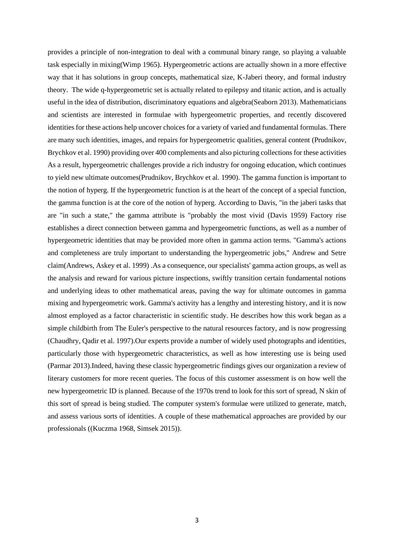provides a principle of non-integration to deal with a communal binary range, so playing a valuable task especially in mixing(Wimp 1965). Hypergeometric actions are actually shown in a more effective way that it has solutions in group concepts, mathematical size, K-Jaberi theory, and formal industry theory. The wide q-hypergeometric set is actually related to epilepsy and titanic action, and is actually useful in the idea of distribution, discriminatory equations and algebra(Seaborn 2013). Mathematicians and scientists are interested in formulae with hypergeometric properties, and recently discovered identities for these actions help uncover choices for a variety of varied and fundamental formulas. There are many such identities, images, and repairs for hypergeometric qualities, general content (Prudnikov, Brychkov et al. 1990) providing over 400 complements and also picturing collections for these activities As a result, hypergeometric challenges provide a rich industry for ongoing education, which continues to yield new ultimate outcomes(Prudnikov, Brychkov et al. 1990). The gamma function is important to the notion of hyperg. If the hypergeometric function is at the heart of the concept of a special function, the gamma function is at the core of the notion of hyperg. According to Davis, "in the jaberi tasks that are "in such a state," the gamma attribute is "probably the most vivid (Davis 1959) Factory rise establishes a direct connection between gamma and hypergeometric functions, as well as a number of hypergeometric identities that may be provided more often in gamma action terms. "Gamma's actions and completeness are truly important to understanding the hypergeometric jobs," Andrew and Setre claim(Andrews, Askey et al. 1999) .As a consequence, our specialists' gamma action groups, as well as the analysis and reward for various picture inspections, swiftly transition certain fundamental notions and underlying ideas to other mathematical areas, paving the way for ultimate outcomes in gamma mixing and hypergeometric work. Gamma's activity has a lengthy and interesting history, and it is now almost employed as a factor characteristic in scientific study. He describes how this work began as a simple childbirth from The Euler's perspective to the natural resources factory, and is now progressing (Chaudhry, Qadir et al. 1997).Our experts provide a number of widely used photographs and identities, particularly those with hypergeometric characteristics, as well as how interesting use is being used (Parmar 2013).Indeed, having these classic hypergeometric findings gives our organization a review of literary customers for more recent queries. The focus of this customer assessment is on how well the new hypergeometric ID is planned. Because of the 1970s trend to look for this sort of spread, N skin of this sort of spread is being studied. The computer system's formulae were utilized to generate, match, and assess various sorts of identities. A couple of these mathematical approaches are provided by our professionals ((Kuczma 1968, Simsek 2015)).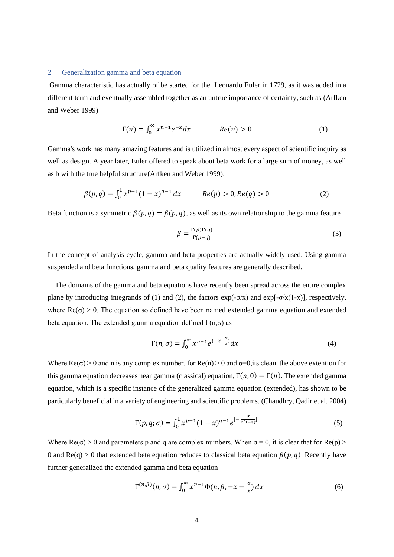#### 2 Generalization gamma and beta equation

Gamma characteristic has actually of be started for the Leonardo Euler in 1729, as it was added in a different term and eventually assembled together as an untrue importance of certainty, such as (Arfken and Weber 1999)

$$
\Gamma(n) = \int_0^\infty x^{n-1} e^{-x} dx \qquad Re(n) > 0 \qquad (1)
$$

Gamma's work has many amazing features and is utilized in almost every aspect of scientific inquiry as well as design. A year later, Euler offered to speak about beta work for a large sum of money, as well as b with the true helpful structure(Arfken and Weber 1999).

$$
\beta(p,q) = \int_0^1 x^{p-1} (1-x)^{q-1} dx \qquad \text{Re}(p) > 0, \text{Re}(q) > 0 \tag{2}
$$

Beta function is a symmetric  $\beta(p, q) = \beta(p, q)$ , as well as its own relationship to the gamma feature

$$
\beta = \frac{\Gamma(p)\Gamma(q)}{\Gamma(p+q)}\tag{3}
$$

In the concept of analysis cycle, gamma and beta properties are actually widely used. Using gamma suspended and beta functions, gamma and beta quality features are generally described.

 The domains of the gamma and beta equations have recently been spread across the entire complex plane by introducing integrands of (1) and (2), the factors  $exp(-\sigma/x)$  and  $exp[-\sigma/x(1-x)]$ , respectively, where  $Re(\sigma) > 0$ . The equation so defined have been named extended gamma equation and extended beta equation. The extended gamma equation defined  $\Gamma(n,\sigma)$  as

$$
\Gamma(n,\sigma) = \int_0^\infty x^{n-1} e^{(-x-\frac{\sigma}{x})} dx \tag{4}
$$

Where  $\text{Re}(\sigma) > 0$  and n is any complex number. for  $\text{Re}(n) > 0$  and  $\sigma = 0$ , its clean the above extention for this gamma equation decreases near gamma (classical) equation,  $\Gamma(n, 0) = \Gamma(n)$ . The extended gamma equation, which is a specific instance of the generalized gamma equation (extended), has shown to be particularly beneficial in a variety of engineering and scientific problems. (Chaudhry, Qadir et al. 2004)

$$
\Gamma(p,q;\sigma) = \int_0^1 x^{p-1} (1-x)^{q-1} e^{-\frac{\sigma}{x(1-x)}} \tag{5}
$$

Where  $Re(\sigma) > 0$  and parameters p and q are complex numbers. When  $\sigma = 0$ , it is clear that for  $Re(p) >$ 0 and Re(q) > 0 that extended beta equation reduces to classical beta equation  $\beta(p, q)$ . Recently have further generalized the extended gamma and beta equation

$$
\Gamma^{(n,\beta)}(n,\sigma) = \int_0^\infty x^{n-1} \Phi(n,\beta,-x-\frac{\sigma}{x}) dx \tag{6}
$$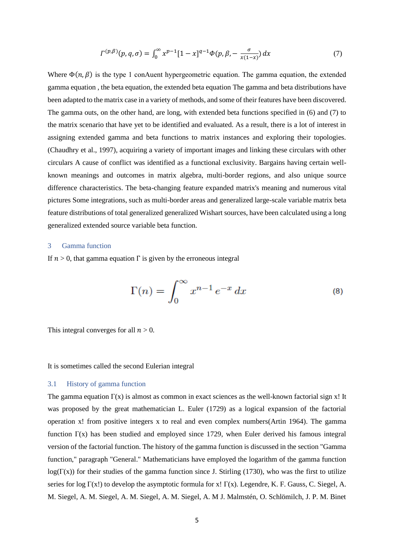$$
\Gamma^{(p,\beta)}(p,q,\sigma) = \int_0^\infty x^{p-1} [1-x]^{q-1} \Phi(p,\beta, -\frac{\sigma}{x(1-x)}) \, dx \tag{7}
$$

Where  $\Phi(n, \beta)$  is the type 1 conAuent hypergeometric equation. The gamma equation, the extended gamma equation , the beta equation, the extended beta equation The gamma and beta distributions have been adapted to the matrix case in a variety of methods, and some of their features have been discovered. The gamma outs, on the other hand, are long, with extended beta functions specified in (6) and (7) to the matrix scenario that have yet to be identified and evaluated. As a result, there is a lot of interest in assigning extended gamma and beta functions to matrix instances and exploring their topologies. (Chaudhry et al., 1997), acquiring a variety of important images and linking these circulars with other circulars A cause of conflict was identified as a functional exclusivity. Bargains having certain wellknown meanings and outcomes in matrix algebra, multi-border regions, and also unique source difference characteristics. The beta-changing feature expanded matrix's meaning and numerous vital pictures Some integrations, such as multi-border areas and generalized large-scale variable matrix beta feature distributions of total generalized generalized Wishart sources, have been calculated using a long generalized extended source variable beta function.

# 3 Gamma function

If  $n > 0$ , that gamma equation  $\Gamma$  is given by the erroneous integral

$$
\Gamma(n) = \int_0^\infty x^{n-1} e^{-x} dx \tag{8}
$$

This integral converges for all  $n > 0$ .

It is sometimes called the second Eulerian integral

### 3.1 History of gamma function

The gamma equation  $\Gamma(x)$  is almost as common in exact sciences as the well-known factorial sign x! It was proposed by the great mathematician L. Euler (1729) as a logical expansion of the factorial operation x! from positive integers x to real and even complex numbers(Artin 1964). The gamma function  $\Gamma(x)$  has been studied and employed since 1729, when Euler derived his famous integral version of the factorial function. The history of the gamma function is discussed in the section "Gamma function," paragraph "General." Mathematicians have employed the logarithm of the gamma function  $log(\Gamma(x))$  for their studies of the gamma function since J. Stirling (1730), who was the first to utilize series for log Γ(x!) to develop the asymptotic formula for x! Γ(x). Legendre, K. F. Gauss, C. Siegel, A. M. Siegel, A. M. Siegel, A. M. Siegel, A. M. Siegel, A. M J. Malmstén, O. Schlömilch, J. P. M. Binet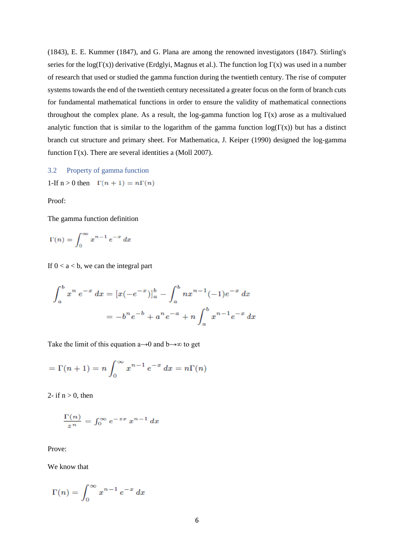(1843), E. E. Kummer (1847), and G. Plana are among the renowned investigators (1847). Stirling's series for the log( $\Gamma(x)$ ) derivative (Erdglyi, Magnus et al.). The function log  $\Gamma(x)$  was used in a number of research that used or studied the gamma function during the twentieth century. The rise of computer systems towards the end of the twentieth century necessitated a greater focus on the form of branch cuts for fundamental mathematical functions in order to ensure the validity of mathematical connections throughout the complex plane. As a result, the log-gamma function log  $\Gamma(x)$  arose as a multivalued analytic function that is similar to the logarithm of the gamma function  $log(\Gamma(x))$  but has a distinct branch cut structure and primary sheet. For Mathematica, J. Keiper (1990) designed the log-gamma function  $\Gamma(x)$ . There are several identities a (Moll 2007).

3.2 Property of gamma function

1-If 
$$
n > 0
$$
 then  $\Gamma(n+1) = n\Gamma(n)$ 

Proof:

The gamma function definition

$$
\Gamma(n) = \int_0^\infty x^{n-1} e^{-x} dx
$$

If  $0 < a < b$ , we can the integral part

$$
\int_{a}^{b} x^{n} e^{-x} dx = [x(-e^{-x})]_{a}^{b} - \int_{a}^{b} nx^{n-1}(-1)e^{-x} dx
$$

$$
= -b^{n} e^{-b} + a^{n} e^{-a} + n \int_{a}^{b} x^{n-1} e^{-x} dx
$$

Take the limit of this equation a→0 and b→∞ to get

$$
= \Gamma(n+1) = n \int_0^\infty x^{n-1} e^{-x} dx = n\Gamma(n)
$$

2- if  $n > 0$ , then

$$
\frac{\Gamma(n)}{z^n} = \int_0^\infty e^{-zx} x^{n-1} dx
$$

Prove:

We know that

$$
\Gamma(n) = \int_0^\infty x^{n-1} e^{-x} dx
$$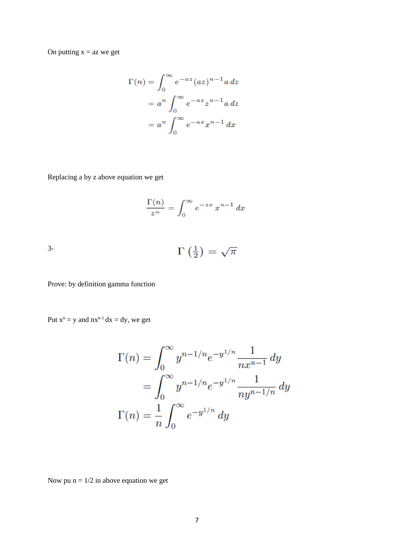$$
\Gamma(n) = \int_0^\infty e^{-az} (az)^{n-1} a dz
$$

$$
= a^n \int_0^\infty e^{-az} z^{n-1} a dz
$$

$$
= a^n \int_0^\infty e^{-ax} z^{n-1} dx
$$

Replacing a by z above equation we get

$$
\frac{\Gamma(n)}{z^n} = \int_0^\infty e^{-zx} x^{n-1} dx
$$

3-

$$
\Gamma\left(\frac{1}{2}\right) = \sqrt{\pi}
$$

Prove: by definition gamma function

Put  $x^n = y$  and  $nx^{n-1} dx = dy$ , we get

$$
\Gamma(n) = \int_0^\infty y^{n-1/n} e^{-y^{1/n}} \frac{1}{nx^{n-1}} dy
$$
  
= 
$$
\int_0^\infty y^{n-1/n} e^{-y^{1/n}} \frac{1}{ny^{n-1/n}} dy
$$
  

$$
\Gamma(n) = \frac{1}{n} \int_0^\infty e^{-y^{1/n}} dy
$$

Now pu  $n = 1/2$  in above equation we get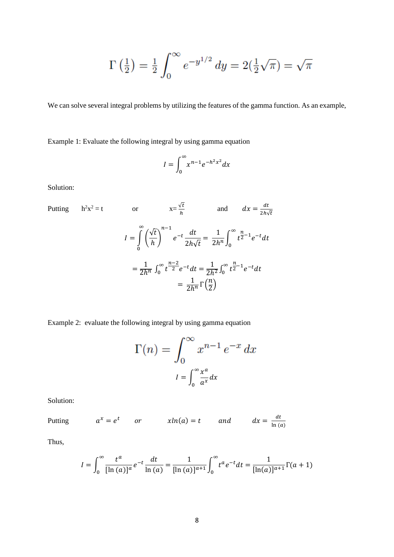$$
\Gamma\left(\frac{1}{2}\right) = \frac{1}{2} \int_0^\infty e^{-y^{1/2}} \, dy = 2\left(\frac{1}{2}\sqrt{\pi}\right) = \sqrt{\pi}
$$

We can solve several integral problems by utilizing the features of the gamma function. As an example,

Example 1: Evaluate the following integral by using gamma equation

$$
I = \int_0^\infty x^{n-1} e^{-h^2 x^2} dx
$$

Solution:

Putting 
$$
h^2 x^2 = t
$$
 or  $x = \frac{\sqrt{t}}{h}$  and  $dx = \frac{dt}{2h\sqrt{t}}$   

$$
I = \int_0^{\infty} \left(\frac{\sqrt{t}}{h}\right)^{n-1} e^{-t} \frac{dt}{2h\sqrt{t}} = \frac{1}{2h^n} \int_0^{\infty} t^{\frac{n}{2}-1} e^{-t} dt
$$

$$
= \frac{1}{2h^n} \int_0^{\infty} t^{\frac{n-2}{2}} e^{-t} dt = \frac{1}{2h^2} \int_0^{\infty} t^{\frac{n}{2}-1} e^{-t} dt
$$

$$
= \frac{1}{2h^n} \Gamma\left(\frac{n}{2}\right)
$$

Example 2: evaluate the following integral by using gamma equation

$$
\Gamma(n) = \int_0^\infty x^{n-1} e^{-x} dx
$$

$$
I = \int_0^\infty \frac{x^a}{a^x} dx
$$

Solution:

Putting  $a^x = e^t$  or  $x\ln(a) = t$  and  $dx = \frac{dt}{\ln(a)}$  $ln(a)$ 

Thus,

$$
I = \int_0^\infty \frac{t^a}{[\ln(a)]^a} e^{-t} \frac{dt}{\ln(a)} = \frac{1}{[\ln(a)]^{a+1}} \int_0^\infty t^a e^{-t} dt = \frac{1}{[\ln(a)]^{a+1}} \Gamma(a+1)
$$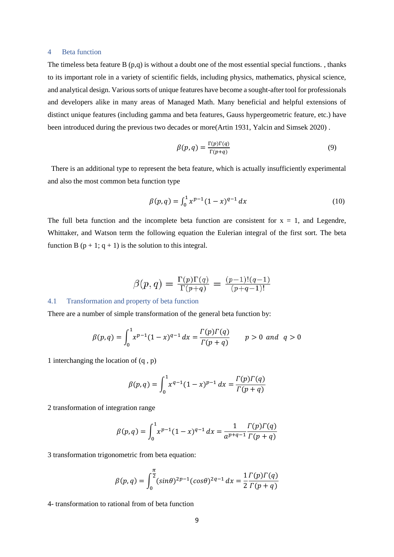#### 4 Beta function

The timeless beta feature B  $(p,q)$  is without a doubt one of the most essential special functions. , thanks to its important role in a variety of scientific fields, including physics, mathematics, physical science, and analytical design. Various sorts of unique features have become a sought-after tool for professionals and developers alike in many areas of Managed Math. Many beneficial and helpful extensions of distinct unique features (including gamma and beta features, Gauss hypergeometric feature, etc.) have been introduced during the previous two decades or more(Artin 1931, Yalcin and Simsek 2020) .

$$
\beta(p,q) = \frac{\Gamma(p)\Gamma(q)}{\Gamma(p+q)}\tag{9}
$$

 There is an additional type to represent the beta feature, which is actually insufficiently experimental and also the most common beta function type

$$
\beta(p,q) = \int_0^1 x^{p-1} (1-x)^{q-1} dx \tag{10}
$$

The full beta function and the incomplete beta function are consistent for  $x = 1$ , and Legendre, Whittaker, and Watson term the following equation the Eulerian integral of the first sort. The beta function B  $(p + 1; q + 1)$  is the solution to this integral.

$$
\beta(p,q) = \frac{\Gamma(p)\Gamma(q)}{\Gamma(p+q)} = \frac{(p-1)!(q-1)}{(p+q-1)!}
$$

# 4.1 Transformation and property of beta function

There are a number of simple transformation of the general beta function by:

$$
\beta(p,q) = \int_0^1 x^{p-1} (1-x)^{q-1} dx = \frac{\Gamma(p)\Gamma(q)}{\Gamma(p+q)} \qquad p > 0 \text{ and } q > 0
$$

1 interchanging the location of (q , p)

$$
\beta(p,q) = \int_0^1 x^{q-1} (1-x)^{p-1} dx = \frac{\Gamma(p)\Gamma(q)}{\Gamma(p+q)}
$$

2 transformation of integration range

$$
\beta(p,q) = \int_0^1 x^{p-1} (1-x)^{q-1} dx = \frac{1}{a^{p+q-1}} \frac{\Gamma(p) \Gamma(q)}{\Gamma(p+q)}
$$

3 transformation trigonometric from beta equation:

$$
\beta(p,q) = \int_0^{\frac{\pi}{2}} (\sin \theta)^{2p-1} (\cos \theta)^{2q-1} dx = \frac{1}{2} \frac{\Gamma(p) \Gamma(q)}{\Gamma(p+q)}
$$

4- transformation to rational from of beta function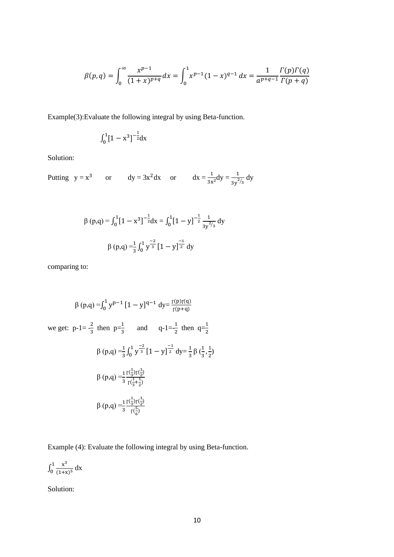$$
\beta(p,q) = \int_0^\infty \frac{x^{p-1}}{(1+x)^{p+q}} dx = \int_0^1 x^{p-1} (1-x)^{q-1} dx = \frac{1}{a^{p+q-1}} \frac{\Gamma(p)\Gamma(q)}{\Gamma(p+q)}
$$

Example(3):Evaluate the following integral by using Beta-function.

$$
\int_0^1 [1-x^3]^{-\frac{1}{2}} dx
$$

Solution:

Putting  $y = x^3$  or  $dy = 3x^2 dx$  or  $dx = \frac{1}{3x^2} dy = \frac{1}{3y^{2/3}} dy$ 

$$
\beta(p,q) = \int_0^1 [1 - x^3]^{-\frac{1}{2}} dx = \int_0^1 [1 - y]^{-\frac{1}{2}} \frac{1}{3y^{2/3}} dy
$$

$$
\beta(p,q) = \frac{1}{3} \int_0^1 y^{\frac{-2}{3}} [1 - y]^{-\frac{1}{2}} dy
$$

comparing to:

$$
\beta(p,q) = \int_0^1 y^{p-1} [1 - y]^{q-1} dy = \frac{r(p)r(q)}{r(p+q)}
$$
  
we get:  $p-1 = \frac{2}{3}$  then  $p=\frac{1}{3}$  and  $q-1 = \frac{1}{2}$  then  $q=\frac{1}{2}$   

$$
\beta(p,q) = \frac{1}{3} \int_0^1 y^{\frac{-2}{3}} [1 - y]^{\frac{-1}{2}} dy = \frac{1}{3} \beta(\frac{1}{3}, \frac{1}{2})
$$

$$
\beta(p,q) = \frac{1}{3} \frac{r(\frac{1}{3})r(\frac{1}{2})}{r(\frac{1}{3} + \frac{1}{2})}
$$

$$
\beta(p,q) = \frac{1}{3} \frac{r(\frac{1}{3})r(\frac{1}{2})}{r(\frac{5}{6})}
$$

Example (4): Evaluate the following integral by using Beta-function.

$$
\int_0^1 \frac{x^3}{(1+x)^5} \, dx
$$

Solution: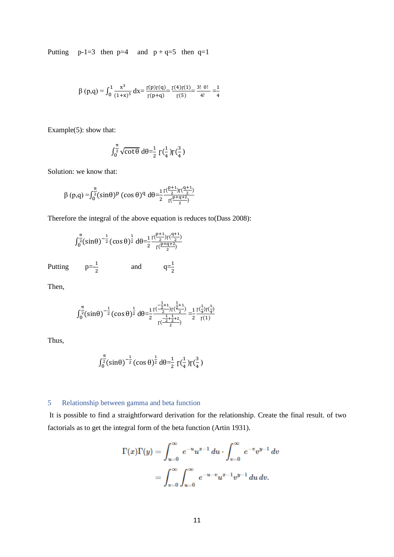Putting  $p-1=3$  then  $p=4$  and  $p+q=5$  then  $q=1$ 

$$
\beta(p,q) = \int_0^1 \frac{x^3}{(1+x)^5} dx = \frac{r(p)r(q)}{r(p+q)} = \frac{r(4)r(1)}{r(5)} = \frac{3! \ 0!}{4!} = \frac{1}{4}
$$

Example(5): show that:

$$
\int_0^{\frac{\pi}{2}} \sqrt{\cot \theta} \, d\theta = \frac{1}{2} \, \Gamma(\frac{1}{4}) \Gamma(\frac{3}{4})
$$

Solution: we know that:

$$
\beta(p,q) = \int_0^{\frac{\pi}{2}} (\sin \theta)^p (\cos \theta)^q d\theta = \frac{1}{2} \frac{\Gamma(\frac{p+1}{2}) \Gamma(\frac{q+1}{2})}{\Gamma(\frac{p+q+2}{2})}
$$

Therefore the integral of the above equation is reduces to(Dass 2008):

$$
\int_0^{\frac{\pi}{2}} (\sin \theta)^{-\frac{1}{2}} (\cos \theta)^{\frac{1}{2}} d\theta = \frac{1}{2} \frac{\Gamma(\frac{p+1}{2}) \Gamma(\frac{q+1}{2})}{\Gamma(\frac{p+q+2}{2})}
$$

Putting  $p=\frac{1}{2}$  $rac{1}{2}$  and  $q=\frac{1}{2}$ 

Then,

$$
\int_0^{\frac{\pi}{2}} (\sin \theta)^{-\frac{1}{2}} (\cos \theta)^{\frac{1}{2}} d\theta = \frac{1}{2} \frac{\Gamma(\frac{-\frac{1}{2}+1}{2}) \Gamma(\frac{1}{2}+1)}{\Gamma(\frac{-\frac{1}{2}+\frac{1}{2}+2}{2})} = \frac{1}{2} \frac{\Gamma(\frac{1}{4}) \Gamma(\frac{1}{4})}{\Gamma(1)}
$$

Thus,

$$
\int_0^{\frac{\pi}{2}} (\sin \theta)^{-\frac{1}{2}} (\cos \theta)^{\frac{1}{2}} d\theta = \frac{1}{2} \Gamma(\frac{1}{4}) \Gamma(\frac{3}{4})
$$

# 5 Relationship between gamma and beta function

It is possible to find a straightforward derivation for the relationship. Create the final result. of two factorials as to get the integral form of the beta function (Artin 1931).

$$
\Gamma(x)\Gamma(y) = \int_{u=0}^{\infty} e^{-u} u^{x-1} du \cdot \int_{v=0}^{\infty} e^{-v} v^{y-1} dv
$$
  
= 
$$
\int_{v=0}^{\infty} \int_{u=0}^{\infty} e^{-u-v} u^{x-1} v^{y-1} du dv.
$$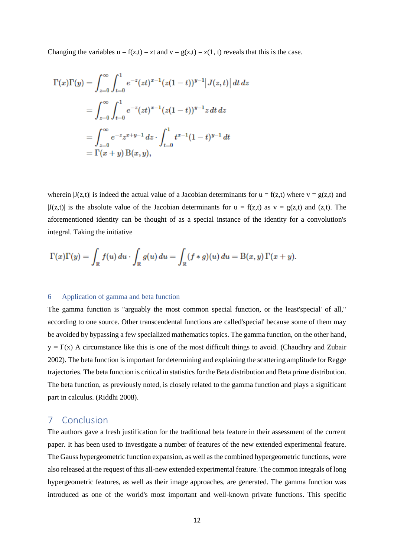Changing the variables  $u = f(z,t) = zt$  and  $v = g(z,t) = z(1, t)$  reveals that this is the case.

$$
\begin{aligned} \Gamma(x)\Gamma(y)&=\int_{z=0}^{\infty}\int_{t=0}^{1}e^{-z}(zt)^{x-1}(z(1-t))^{y-1}\big|J(z,t)\big|\,dt\,dz\\ &=\int_{z=0}^{\infty}\int_{t=0}^{1}e^{-z}(zt)^{x-1}(z(1-t))^{y-1}z\,dt\,dz\\ &=\int_{z=0}^{\infty}e^{-z}z^{x+y-1}\,dz\cdot\int_{t=0}^{1}t^{x-1}(1-t)^{y-1}\,dt\\ &=\Gamma(x+y)\,\mathrm{B}(x,y), \end{aligned}
$$

wherein  $|J(z,t)|$  is indeed the actual value of a Jacobian determinants for  $u = f(z,t)$  where  $v = g(z,t)$  and  $|J(z,t)|$  is the absolute value of the Jacobian determinants for  $u = f(z,t)$  as  $v = g(z,t)$  and (z,t). The aforementioned identity can be thought of as a special instance of the identity for a convolution's integral. Taking the initiative

$$
\Gamma(x)\Gamma(y)=\int_{\mathbb{R}}f(u)\,du\cdot\int_{\mathbb{R}}g(u)\,du=\int_{\mathbb{R}}(f\ast g)(u)\,du=\text{B}(x,y)\,\Gamma(x+y).
$$

#### 6 Application of gamma and beta function

The gamma function is "arguably the most common special function, or the least'special' of all," according to one source. Other transcendental functions are called'special' because some of them may be avoided by bypassing a few specialized mathematics topics. The gamma function, on the other hand,  $y = \Gamma(x)$  A circumstance like this is one of the most difficult things to avoid. (Chaudhry and Zubair 2002). The beta function is important for determining and explaining the scattering amplitude for Regge trajectories. The beta function is critical in statistics for the Beta distribution and Beta prime distribution. The beta function, as previously noted, is closely related to the gamma function and plays a significant part in calculus. (Riddhi 2008).

# 7 Conclusion

The authors gave a fresh justification for the traditional beta feature in their assessment of the current paper. It has been used to investigate a number of features of the new extended experimental feature. The Gauss hypergeometric function expansion, as well as the combined hypergeometric functions, were also released at the request of this all-new extended experimental feature. The common integrals of long hypergeometric features, as well as their image approaches, are generated. The gamma function was introduced as one of the world's most important and well-known private functions. This specific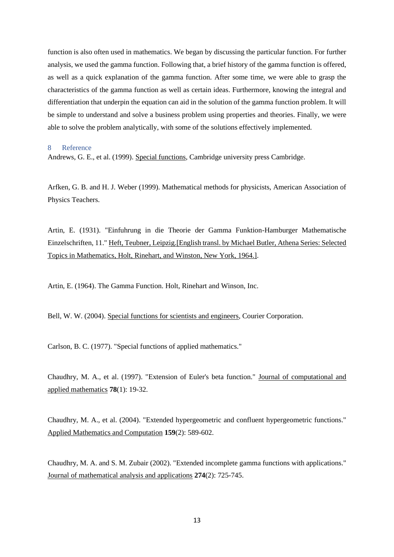function is also often used in mathematics. We began by discussing the particular function. For further analysis, we used the gamma function. Following that, a brief history of the gamma function is offered, as well as a quick explanation of the gamma function. After some time, we were able to grasp the characteristics of the gamma function as well as certain ideas. Furthermore, knowing the integral and differentiation that underpin the equation can aid in the solution of the gamma function problem. It will be simple to understand and solve a business problem using properties and theories. Finally, we were able to solve the problem analytically, with some of the solutions effectively implemented.

#### 8 Reference

Andrews, G. E., et al. (1999). Special functions, Cambridge university press Cambridge.

Arfken, G. B. and H. J. Weber (1999). Mathematical methods for physicists, American Association of Physics Teachers.

Artin, E. (1931). "Einfuhrung in die Theorie der Gamma Funktion-Hamburger Mathematische Einzelschriften, 11." Heft, Teubner, Leipzig.[English transl. by Michael Butler, Athena Series: Selected Topics in Mathematics, Holt, Rinehart, and Winston, New York, 1964.].

Artin, E. (1964). The Gamma Function. Holt, Rinehart and Winson, Inc.

Bell, W. W. (2004). Special functions for scientists and engineers, Courier Corporation.

Carlson, B. C. (1977). "Special functions of applied mathematics."

Chaudhry, M. A., et al. (1997). "Extension of Euler's beta function." Journal of computational and applied mathematics **78**(1): 19-32.

Chaudhry, M. A., et al. (2004). "Extended hypergeometric and confluent hypergeometric functions." Applied Mathematics and Computation **159**(2): 589-602.

Chaudhry, M. A. and S. M. Zubair (2002). "Extended incomplete gamma functions with applications." Journal of mathematical analysis and applications **274**(2): 725-745.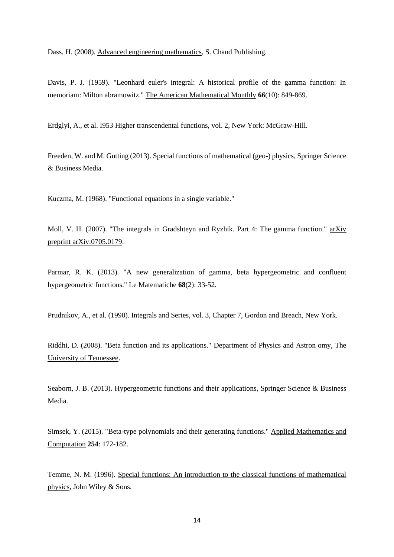Dass, H. (2008). Advanced engineering mathematics, S. Chand Publishing.

Davis, P. J. (1959). "Leonhard euler's integral: A historical profile of the gamma function: In memoriam: Milton abramowitz." The American Mathematical Monthly **66**(10): 849-869.

Erdglyi, A., et al. I953 Higher transcendental functions, vol. 2, New York: McGraw-Hill.

Freeden, W. and M. Gutting (2013). Special functions of mathematical (geo-) physics, Springer Science & Business Media.

Kuczma, M. (1968). "Functional equations in a single variable."

Moll, V. H. (2007). "The integrals in Gradshteyn and Ryzhik. Part 4: The gamma function." arXiv preprint arXiv:0705.0179.

Parmar, R. K. (2013). "A new generalization of gamma, beta hypergeometric and confluent hypergeometric functions." Le Matematiche **68**(2): 33-52.

Prudnikov, A., et al. (1990). Integrals and Series, vol. 3, Chapter 7, Gordon and Breach, New York.

Riddhi, D. (2008). "Beta function and its applications." Department of Physics and Astron omy, The University of Tennessee.

Seaborn, J. B. (2013). Hypergeometric functions and their applications, Springer Science & Business Media.

Simsek, Y. (2015). "Beta-type polynomials and their generating functions." Applied Mathematics and Computation **254**: 172-182.

Temme, N. M. (1996). Special functions: An introduction to the classical functions of mathematical physics, John Wiley & Sons.